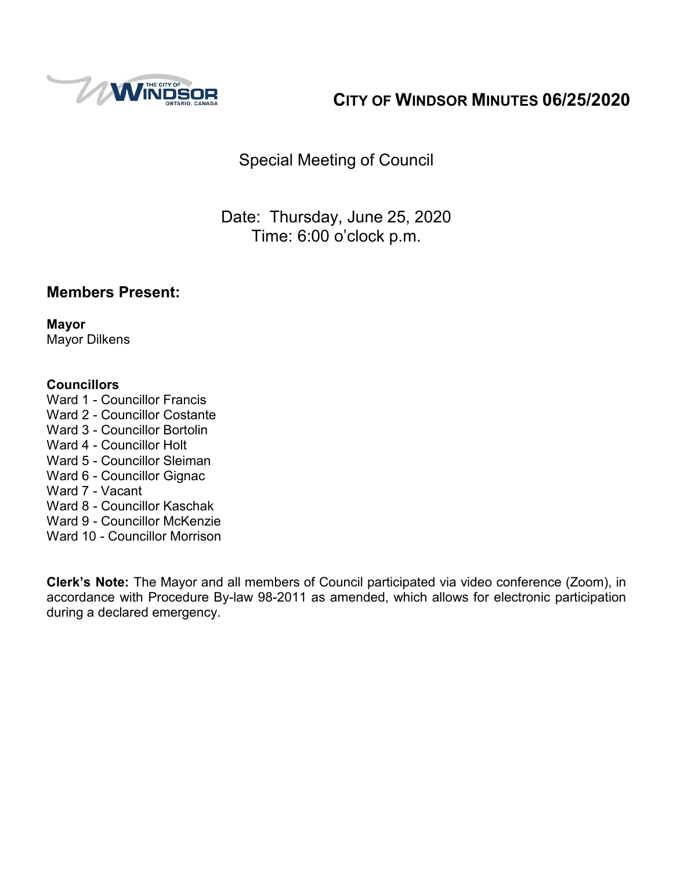

# **CITY OF WINDSOR MINUTES 06/25/2020**

Special Meeting of Council

Date: Thursday, June 25, 2020 Time: 6:00 o'clock p.m.

### **Members Present:**

**Mayor** Mayor Dilkens

#### **Councillors**

- Ward 1 Councillor Francis
- Ward 2 Councillor Costante
- Ward 3 Councillor Bortolin
- Ward 4 Councillor Holt
- Ward 5 Councillor Sleiman
- Ward 6 Councillor Gignac
- Ward 7 Vacant
- Ward 8 Councillor Kaschak
- Ward 9 Councillor McKenzie
- Ward 10 Councillor Morrison

**Clerk's Note:** The Mayor and all members of Council participated via video conference (Zoom), in accordance with Procedure By-law 98-2011 as amended, which allows for electronic participation during a declared emergency.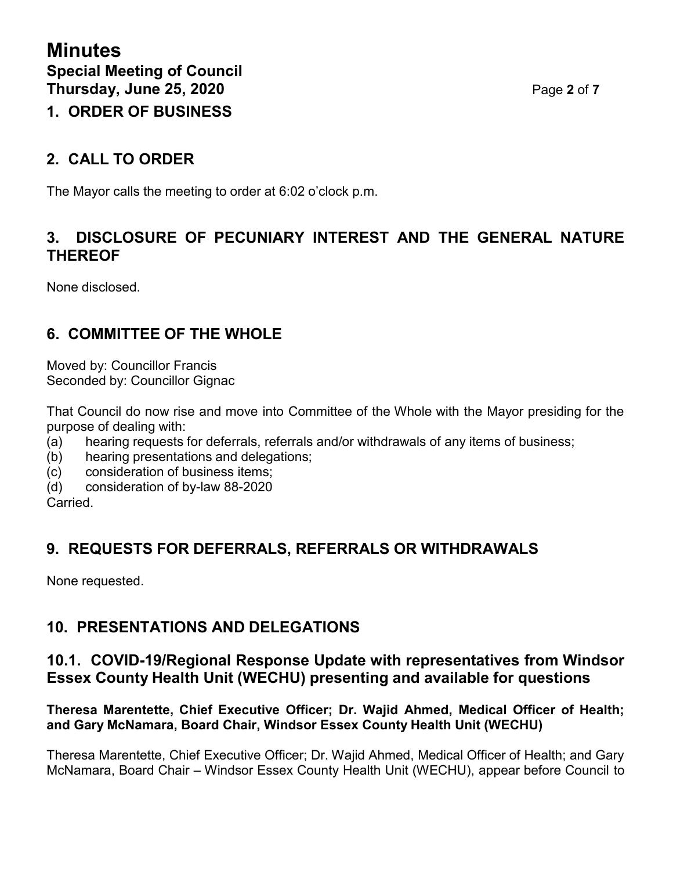# **1. ORDER OF BUSINESS**

## **2. CALL TO ORDER**

The Mayor calls the meeting to order at 6:02 o'clock p.m.

## **3. DISCLOSURE OF PECUNIARY INTEREST AND THE GENERAL NATURE THEREOF**

None disclosed.

## **6. COMMITTEE OF THE WHOLE**

Moved by: Councillor Francis Seconded by: Councillor Gignac

That Council do now rise and move into Committee of the Whole with the Mayor presiding for the purpose of dealing with:

- (a) hearing requests for deferrals, referrals and/or withdrawals of any items of business;
- (b) hearing presentations and delegations;
- (c) consideration of business items;
- (d) consideration of by-law 88-2020

Carried.

## **9. REQUESTS FOR DEFERRALS, REFERRALS OR WITHDRAWALS**

None requested.

## **10. PRESENTATIONS AND DELEGATIONS**

### **10.1. COVID-19/Regional Response Update with representatives from Windsor Essex County Health Unit (WECHU) presenting and available for questions**

#### **Theresa Marentette, Chief Executive Officer; Dr. Wajid Ahmed, Medical Officer of Health; and Gary McNamara, Board Chair, Windsor Essex County Health Unit (WECHU)**

Theresa Marentette, Chief Executive Officer; Dr. Wajid Ahmed, Medical Officer of Health; and Gary McNamara, Board Chair – Windsor Essex County Health Unit (WECHU), appear before Council to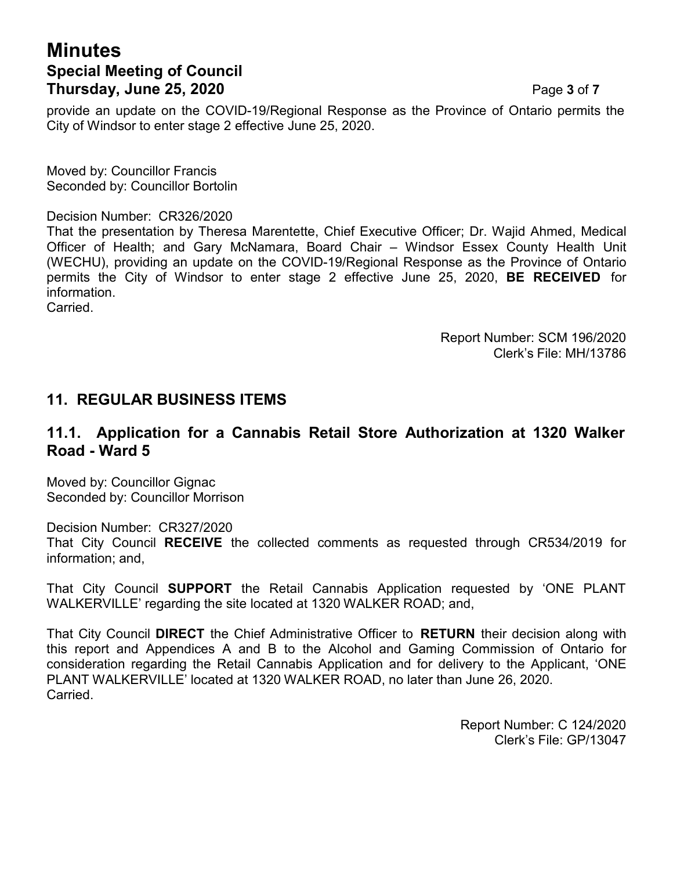## **Minutes Special Meeting of Council Thursday, June 25, 2020 Page 3 of 7**

provide an update on the COVID-19/Regional Response as the Province of Ontario permits the City of Windsor to enter stage 2 effective June 25, 2020.

Moved by: Councillor Francis Seconded by: Councillor Bortolin

#### Decision Number: CR326/2020

That the presentation by Theresa Marentette, Chief Executive Officer; Dr. Wajid Ahmed, Medical Officer of Health; and Gary McNamara, Board Chair – Windsor Essex County Health Unit (WECHU), providing an update on the COVID-19/Regional Response as the Province of Ontario permits the City of Windsor to enter stage 2 effective June 25, 2020, **BE RECEIVED** for information. **Carried** 

> Report Number: SCM 196/2020 Clerk's File: MH/13786

#### **11. REGULAR BUSINESS ITEMS**

#### **11.1. Application for a Cannabis Retail Store Authorization at 1320 Walker Road - Ward 5**

Moved by: Councillor Gignac Seconded by: Councillor Morrison

Decision Number: CR327/2020 That City Council **RECEIVE** the collected comments as requested through CR534/2019 for information; and,

That City Council **SUPPORT** the Retail Cannabis Application requested by 'ONE PLANT WALKERVILLE' regarding the site located at 1320 WALKER ROAD; and,

That City Council **DIRECT** the Chief Administrative Officer to **RETURN** their decision along with this report and Appendices A and B to the Alcohol and Gaming Commission of Ontario for consideration regarding the Retail Cannabis Application and for delivery to the Applicant, 'ONE PLANT WALKERVILLE' located at 1320 WALKER ROAD, no later than June 26, 2020. Carried.

> Report Number: C 124/2020 Clerk's File: GP/13047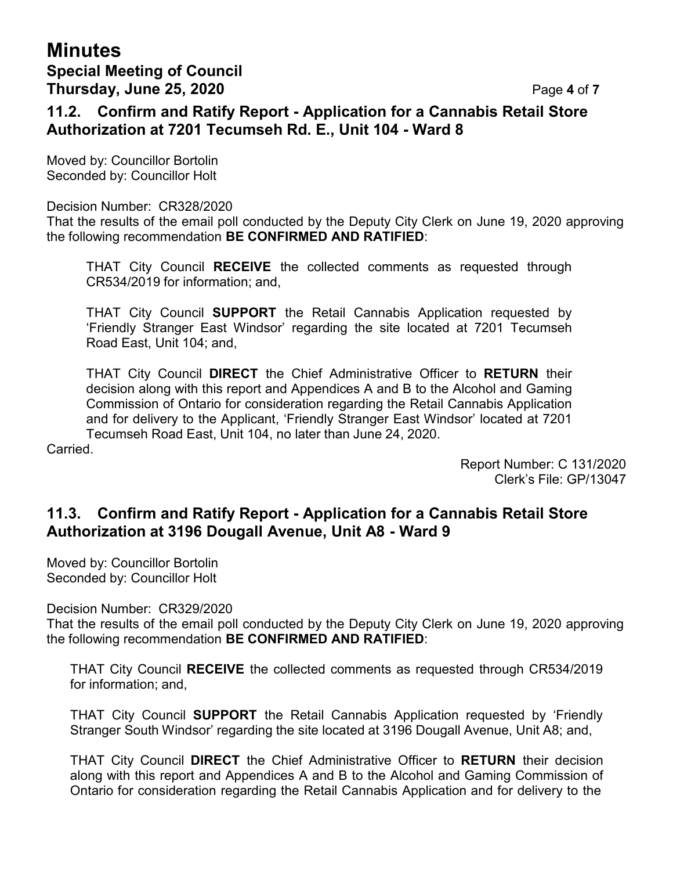## **Minutes Special Meeting of Council Thursday, June 25, 2020** Page **4** of **7**

#### **11.2. Confirm and Ratify Report - Application for a Cannabis Retail Store Authorization at 7201 Tecumseh Rd. E., Unit 104 - Ward 8**

Moved by: Councillor Bortolin Seconded by: Councillor Holt

#### Decision Number: CR328/2020

That the results of the email poll conducted by the Deputy City Clerk on June 19, 2020 approving the following recommendation **BE CONFIRMED AND RATIFIED**:

THAT City Council **RECEIVE** the collected comments as requested through CR534/2019 for information; and,

THAT City Council **SUPPORT** the Retail Cannabis Application requested by 'Friendly Stranger East Windsor' regarding the site located at 7201 Tecumseh Road East, Unit 104; and,

THAT City Council **DIRECT** the Chief Administrative Officer to **RETURN** their decision along with this report and Appendices A and B to the Alcohol and Gaming Commission of Ontario for consideration regarding the Retail Cannabis Application and for delivery to the Applicant, 'Friendly Stranger East Windsor' located at 7201 Tecumseh Road East, Unit 104, no later than June 24, 2020.

Carried.

Report Number: C 131/2020 Clerk's File: GP/13047

## **11.3. Confirm and Ratify Report - Application for a Cannabis Retail Store Authorization at 3196 Dougall Avenue, Unit A8 - Ward 9**

Moved by: Councillor Bortolin Seconded by: Councillor Holt

Decision Number: CR329/2020

That the results of the email poll conducted by the Deputy City Clerk on June 19, 2020 approving the following recommendation **BE CONFIRMED AND RATIFIED**:

THAT City Council **RECEIVE** the collected comments as requested through CR534/2019 for information; and,

THAT City Council **SUPPORT** the Retail Cannabis Application requested by 'Friendly Stranger South Windsor' regarding the site located at 3196 Dougall Avenue, Unit A8; and,

THAT City Council **DIRECT** the Chief Administrative Officer to **RETURN** their decision along with this report and Appendices A and B to the Alcohol and Gaming Commission of Ontario for consideration regarding the Retail Cannabis Application and for delivery to the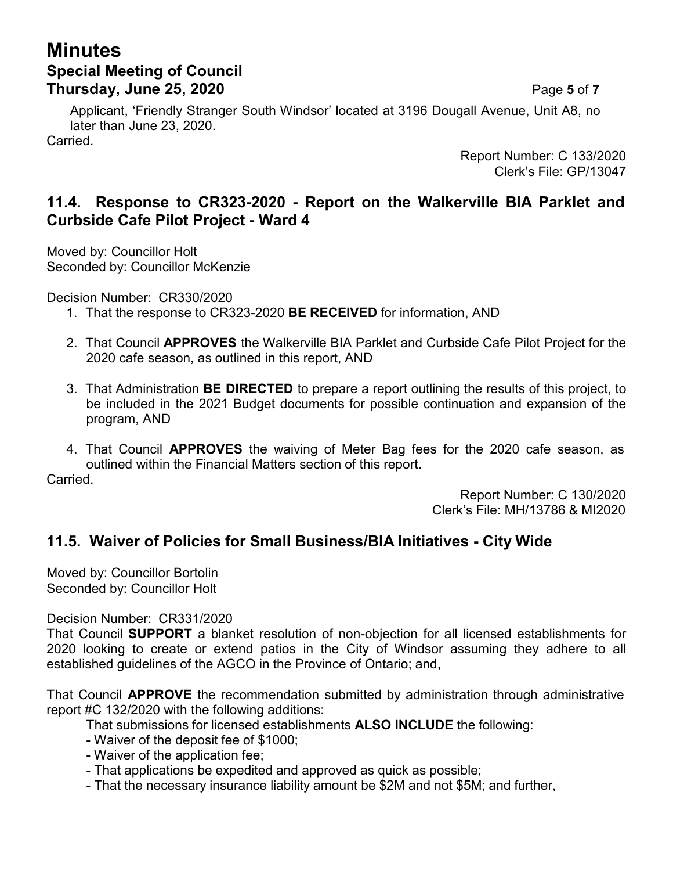## **Minutes Special Meeting of Council Thursday, June 25, 2020** Page **5** of **7**

Applicant, 'Friendly Stranger South Windsor' located at 3196 Dougall Avenue, Unit A8, no later than June 23, 2020.

Carried.

Report Number: C 133/2020 Clerk's File: GP/13047

## **11.4. Response to CR323-2020 - Report on the Walkerville BIA Parklet and Curbside Cafe Pilot Project - Ward 4**

Moved by: Councillor Holt Seconded by: Councillor McKenzie

Decision Number: CR330/2020

- 1. That the response to CR323-2020 **BE RECEIVED** for information, AND
- 2. That Council **APPROVES** the Walkerville BIA Parklet and Curbside Cafe Pilot Project for the 2020 cafe season, as outlined in this report, AND
- 3. That Administration **BE DIRECTED** to prepare a report outlining the results of this project, to be included in the 2021 Budget documents for possible continuation and expansion of the program, AND
- 4. That Council **APPROVES** the waiving of Meter Bag fees for the 2020 cafe season, as outlined within the Financial Matters section of this report. Carried.

Report Number: C 130/2020 Clerk's File: MH/13786 & MI2020

## **11.5. Waiver of Policies for Small Business/BIA Initiatives - City Wide**

Moved by: Councillor Bortolin Seconded by: Councillor Holt

Decision Number: CR331/2020

That Council **SUPPORT** a blanket resolution of non-objection for all licensed establishments for 2020 looking to create or extend patios in the City of Windsor assuming they adhere to all established guidelines of the AGCO in the Province of Ontario; and,

That Council **APPROVE** the recommendation submitted by administration through administrative report #C 132/2020 with the following additions:

- That submissions for licensed establishments **ALSO INCLUDE** the following:
- Waiver of the deposit fee of \$1000;
- Waiver of the application fee;
- That applications be expedited and approved as quick as possible;
- That the necessary insurance liability amount be \$2M and not \$5M; and further,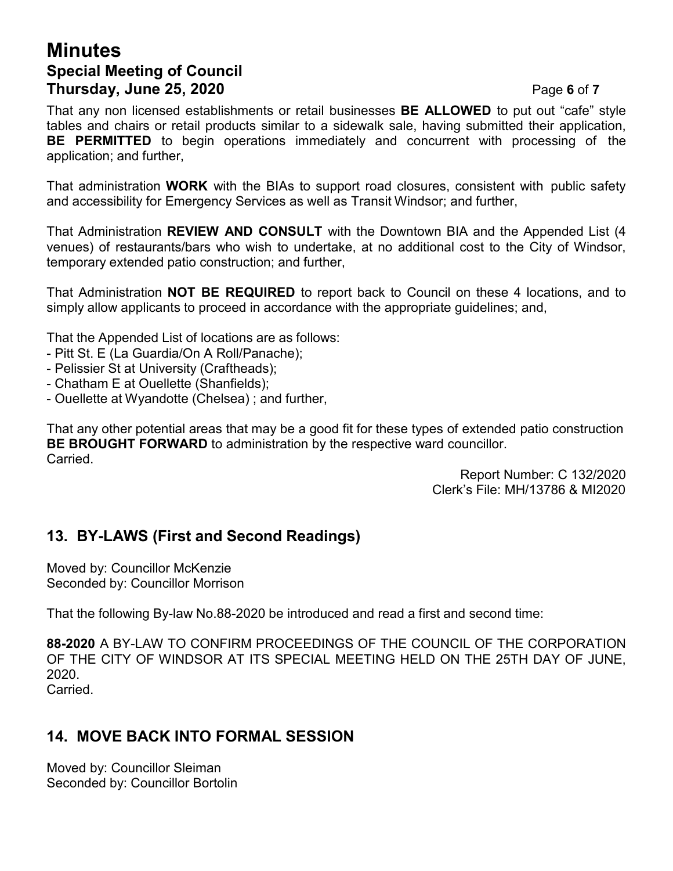## **Minutes Special Meeting of Council Thursday, June 25, 2020** Page **6** of **7**

That any non licensed establishments or retail businesses **BE ALLOWED** to put out "cafe" style tables and chairs or retail products similar to a sidewalk sale, having submitted their application, **BE PERMITTED** to begin operations immediately and concurrent with processing of the application; and further,

That administration **WORK** with the BIAs to support road closures, consistent with public safety and accessibility for Emergency Services as well as Transit Windsor; and further,

That Administration **REVIEW AND CONSULT** with the Downtown BIA and the Appended List (4 venues) of restaurants/bars who wish to undertake, at no additional cost to the City of Windsor, temporary extended patio construction; and further,

That Administration **NOT BE REQUIRED** to report back to Council on these 4 locations, and to simply allow applicants to proceed in accordance with the appropriate guidelines; and,

That the Appended List of locations are as follows:

- Pitt St. E (La Guardia/On A Roll/Panache);
- Pelissier St at University (Craftheads);
- Chatham E at Ouellette (Shanfields);
- Ouellette at Wyandotte (Chelsea) ; and further,

That any other potential areas that may be a good fit for these types of extended patio construction **BE BROUGHT FORWARD** to administration by the respective ward councillor. **Carried** 

Report Number: C 132/2020 Clerk's File: MH/13786 & MI2020

## **13. BY-LAWS (First and Second Readings)**

Moved by: Councillor McKenzie Seconded by: Councillor Morrison

That the following By-law No.88-2020 be introduced and read a first and second time:

**88-2020** A BY-LAW TO CONFIRM PROCEEDINGS OF THE COUNCIL OF THE CORPORATION OF THE CITY OF WINDSOR AT ITS SPECIAL MEETING HELD ON THE 25TH DAY OF JUNE, 2020.

Carried.

## **14. MOVE BACK INTO FORMAL SESSION**

Moved by: Councillor Sleiman Seconded by: Councillor Bortolin